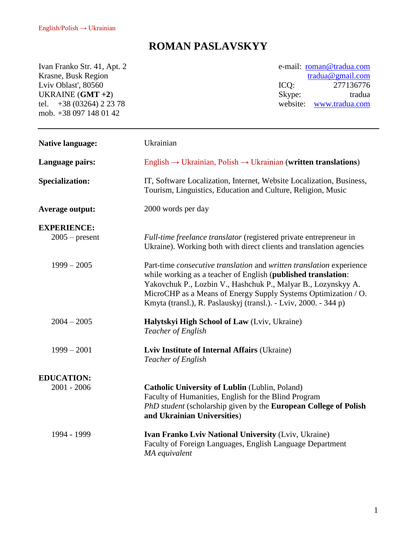## **ROMAN PASLAVSKYY**

Ivan Franko Str. 41, Apt. 2 Krasne, Busk Region Lviv Oblast', 80560 UKRAINE (**GMT +2**) tel. +38 (03264) 2 23 78 mob. +38 097 148 01 42

e-mail: [roman@tradua.com](mailto:roman@tradua.com) [tradua@gmail.com](mailto:tradua@gmail.com) ICQ: 277136776 Skype: tradua website: [www.tradua.com](http://www.tradua.com/)

| <b>Native language:</b> | Ukrainian                                                                                                                                                                                                                                                                                                                                                  |
|-------------------------|------------------------------------------------------------------------------------------------------------------------------------------------------------------------------------------------------------------------------------------------------------------------------------------------------------------------------------------------------------|
| Language pairs:         | English $\rightarrow$ Ukrainian, Polish $\rightarrow$ Ukrainian (written translations)                                                                                                                                                                                                                                                                     |
| <b>Specialization:</b>  | IT, Software Localization, Internet, Website Localization, Business,<br>Tourism, Linguistics, Education and Culture, Religion, Music                                                                                                                                                                                                                       |
| <b>Average output:</b>  | 2000 words per day                                                                                                                                                                                                                                                                                                                                         |
| <b>EXPERIENCE:</b>      |                                                                                                                                                                                                                                                                                                                                                            |
| $2005$ – present        | Full-time freelance translator (registered private entrepreneur in<br>Ukraine). Working both with direct clients and translation agencies                                                                                                                                                                                                                  |
| $1999 - 2005$           | Part-time <i>consecutive translation</i> and <i>written translation</i> experience<br>while working as a teacher of English (published translation:<br>Yakovchuk P., Lozbin V., Hashchuk P., Malyar B., Lozynskyy A.<br>MicroCHP as a Means of Energy Supply Systems Optimization / O.<br>Kmyta (transl.), R. Paslauskyj (transl.). - Lviv, 2000. - 344 p) |
| $2004 - 2005$           | Halytskyi High School of Law (Lviv, Ukraine)<br>Teacher of English                                                                                                                                                                                                                                                                                         |
| $1999 - 2001$           | Lviv Institute of Internal Affairs (Ukraine)<br>Teacher of English                                                                                                                                                                                                                                                                                         |
| <b>EDUCATION:</b>       |                                                                                                                                                                                                                                                                                                                                                            |
| $2001 - 2006$           | Catholic University of Lublin (Lublin, Poland)<br>Faculty of Humanities, English for the Blind Program<br>PhD student (scholarship given by the European College of Polish<br>and Ukrainian Universities)                                                                                                                                                  |
| 1994 - 1999             | Ivan Franko Lviv National University (Lviv, Ukraine)<br>Faculty of Foreign Languages, English Language Department<br>MA equivalent                                                                                                                                                                                                                         |